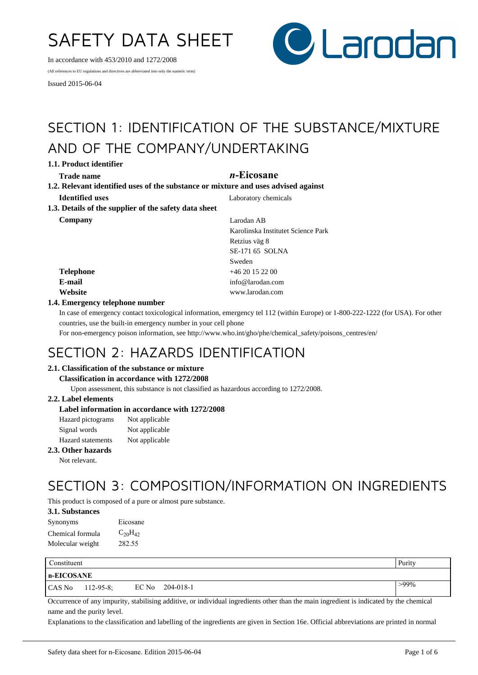# SAFETY DATA SHEET

In accordance with 453/2010 and 1272/2008

(All references to EU regulations and directives are abbreviated into only the numeric term)

Issued 2015-06-04



## SECTION 1: IDENTIFICATION OF THE SUBSTANCE/MIXTURE AND OF THE COMPANY/UNDERTAKING

**1.1. Product identifier**

## **Trade name** *n***-Eicosane**

**1.2. Relevant identified uses of the substance or mixture and uses advised against Identified uses** Laboratory chemicals **1.3. Details of the supplier of the safety data sheet**

**Company** Larodan AB Karolinska Institutet Science Park Retzius väg 8 SE-171 65 SOLNA Sweden **Telephone** +46 20 15 22 00 **E-mail** info@larodan.com **Website** www.larodan.com

## **1.4. Emergency telephone number**

In case of emergency contact toxicological information, emergency tel 112 (within Europe) or 1-800-222-1222 (for USA). For other countries, use the built-in emergency number in your cell phone

For non-emergency poison information, see http://www.who.int/gho/phe/chemical\_safety/poisons\_centres/en/

## SECTION 2: HAZARDS IDENTIFICATION

## **2.1. Classification of the substance or mixture**

#### **Classification in accordance with 1272/2008**

Upon assessment, this substance is not classified as hazardous according to 1272/2008.

## **2.2. Label elements**

## **Label information in accordance with 1272/2008**

| Hazard pictograms        | Not applicable |
|--------------------------|----------------|
| Signal words             | Not applicable |
| <b>Hazard</b> statements | Not applicable |

### **2.3. Other hazards**

Not relevant.

## SECTION 3: COMPOSITION/INFORMATION ON INGREDIENTS

This product is composed of a pure or almost pure substance.

## **3.1. Substances**

| Synonyms         | Eicosane       |
|------------------|----------------|
| Chemical formula | $C_{20}H_{42}$ |
| Molecular weight | 282.55         |

| Constituent |                  |                 | Purity  |
|-------------|------------------|-----------------|---------|
| n-EICOSANE  |                  |                 |         |
| CAS No      | $112 - 95 - 8$ ; | EC No 204-018-1 | $>99\%$ |

Occurrence of any impurity, stabilising additive, or individual ingredients other than the main ingredient is indicated by the chemical name and the purity level.

Explanations to the classification and labelling of the ingredients are given in Section 16e. Official abbreviations are printed in normal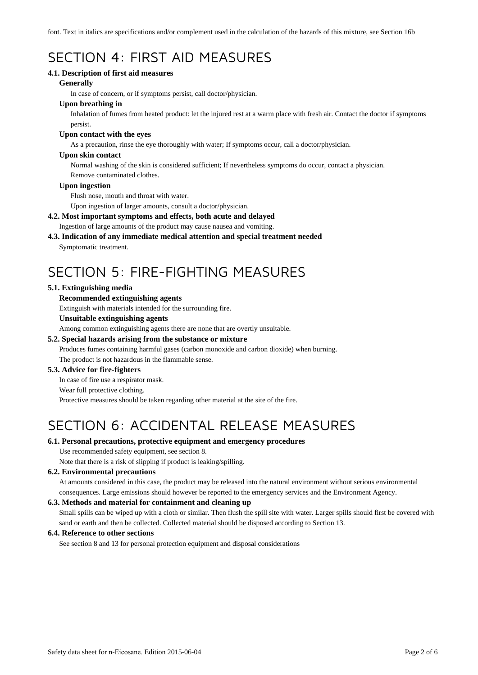font. Text in italics are specifications and/or complement used in the calculation of the hazards of this mixture, see Section 16b

## SECTION 4: FIRST AID MEASURES

## **4.1. Description of first aid measures**

### **Generally**

In case of concern, or if symptoms persist, call doctor/physician.

## **Upon breathing in**

Inhalation of fumes from heated product: let the injured rest at a warm place with fresh air. Contact the doctor if symptoms persist.

### **Upon contact with the eyes**

As a precaution, rinse the eye thoroughly with water; If symptoms occur, call a doctor/physician.

### **Upon skin contact**

Normal washing of the skin is considered sufficient; If nevertheless symptoms do occur, contact a physician. Remove contaminated clothes.

### **Upon ingestion**

Flush nose, mouth and throat with water.

Upon ingestion of larger amounts, consult a doctor/physician.

## **4.2. Most important symptoms and effects, both acute and delayed**

Ingestion of large amounts of the product may cause nausea and vomiting.

## **4.3. Indication of any immediate medical attention and special treatment needed**

Symptomatic treatment.

## SECTION 5: FIRE-FIGHTING MEASURES

## **5.1. Extinguishing media**

### **Recommended extinguishing agents**

Extinguish with materials intended for the surrounding fire.

### **Unsuitable extinguishing agents**

Among common extinguishing agents there are none that are overtly unsuitable.

## **5.2. Special hazards arising from the substance or mixture**

Produces fumes containing harmful gases (carbon monoxide and carbon dioxide) when burning. The product is not hazardous in the flammable sense.

## **5.3. Advice for fire-fighters**

In case of fire use a respirator mask.

#### Wear full protective clothing.

Protective measures should be taken regarding other material at the site of the fire.

## SECTION 6: ACCIDENTAL RELEASE MEASURES

## **6.1. Personal precautions, protective equipment and emergency procedures**

Use recommended safety equipment, see section 8.

Note that there is a risk of slipping if product is leaking/spilling.

## **6.2. Environmental precautions**

At amounts considered in this case, the product may be released into the natural environment without serious environmental consequences. Large emissions should however be reported to the emergency services and the Environment Agency.

## **6.3. Methods and material for containment and cleaning up**

Small spills can be wiped up with a cloth or similar. Then flush the spill site with water. Larger spills should first be covered with sand or earth and then be collected. Collected material should be disposed according to Section 13.

## **6.4. Reference to other sections**

See section 8 and 13 for personal protection equipment and disposal considerations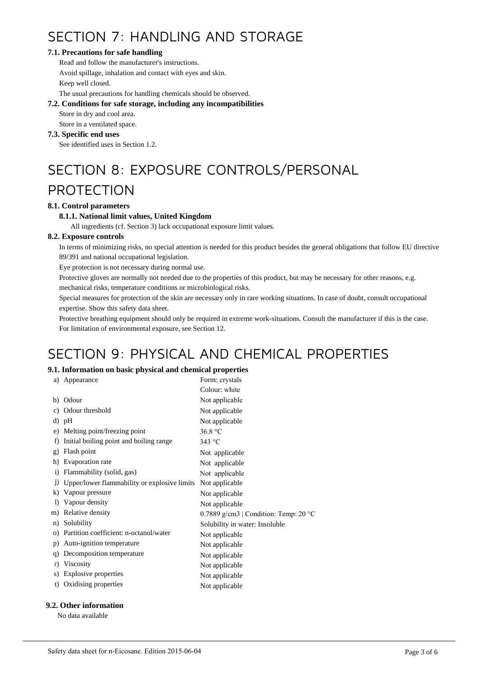## SECTION 7: HANDLING AND STORAGE

## **7.1. Precautions for safe handling**

Read and follow the manufacturer's instructions. Avoid spillage, inhalation and contact with eyes and skin. Keep well closed.

The usual precautions for handling chemicals should be observed.

## **7.2. Conditions for safe storage, including any incompatibilities**

Store in dry and cool area.

Store in a ventilated space.

## **7.3. Specific end uses**

See identified uses in Section 1.2.

# SECTION 8: EXPOSURE CONTROLS/PERSONAL

## PROTECTION

## **8.1. Control parameters**

## **8.1.1. National limit values, United Kingdom**

All ingredients (cf. Section 3) lack occupational exposure limit values.

## **8.2. Exposure controls**

In terms of minimizing risks, no special attention is needed for this product besides the general obligations that follow EU directive 89/391 and national occupational legislation.

Eye protection is not necessary during normal use.

Protective gloves are normally not needed due to the properties of this product, but may be necessary for other reasons, e.g.

mechanical risks, temperature conditions or microbiological risks.

Special measures for protection of the skin are necessary only in rare working situations. In case of doubt, consult occupational expertise. Show this safety data sheet.

Protective breathing equipment should only be required in extreme work-situations. Consult the manufacturer if this is the case. For limitation of environmental exposure, see Section 12.

## SECTION 9: PHYSICAL AND CHEMICAL PROPERTIES

## **9.1. Information on basic physical and chemical properties**

| a)           | Appearance                                   | Form: crystals                        |
|--------------|----------------------------------------------|---------------------------------------|
|              |                                              |                                       |
|              |                                              | Colour: white                         |
| b)           | Odour                                        | Not applicable                        |
| C)           | Odour threshold                              | Not applicable                        |
|              | d) pH                                        | Not applicable                        |
| e)           | Melting point/freezing point                 | 36.8 °C                               |
| f)           | Initial boiling point and boiling range      | 343 °C                                |
| g)           | Flash point                                  | Not applicable                        |
| h)           | Evaporation rate                             | Not applicable                        |
| $\mathbf{i}$ | Flammability (solid, gas)                    | Not applicable                        |
| $_{1}$       | Upper/lower flammability or explosive limits | Not applicable                        |
| k)           | Vapour pressure                              | Not applicable                        |
| $\bf{D}$     | Vapour density                               | Not applicable                        |
|              | m) Relative density                          | 0.7889 g/cm3   Condition: Temp: 20 °C |
| n)           | Solubility                                   | Solubility in water: Insoluble        |
| $\Omega$     | Partition coefficient: n-octanol/water       | Not applicable                        |
| p)           | Auto-ignition temperature                    | Not applicable                        |
| q)           | Decomposition temperature                    | Not applicable                        |
| r)           | Viscosity                                    | Not applicable                        |
| S)           | Explosive properties                         | Not applicable                        |
| t)           | Oxidising properties                         | Not applicable                        |
|              |                                              |                                       |

## **9.2. Other information**

No data available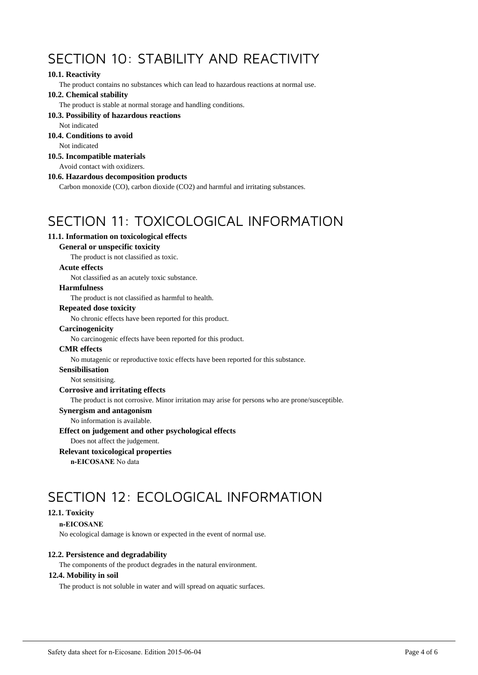## SECTION 10: STABILITY AND REACTIVITY

## **10.1. Reactivity**

The product contains no substances which can lead to hazardous reactions at normal use.

#### **10.2. Chemical stability**

The product is stable at normal storage and handling conditions.

#### **10.3. Possibility of hazardous reactions**

Not indicated

## **10.4. Conditions to avoid**

Not indicated

## **10.5. Incompatible materials**

Avoid contact with oxidizers.

#### **10.6. Hazardous decomposition products**

Carbon monoxide (CO), carbon dioxide (CO2) and harmful and irritating substances.

## SECTION 11: TOXICOLOGICAL INFORMATION

## **11.1. Information on toxicological effects**

## **General or unspecific toxicity**

The product is not classified as toxic.

### **Acute effects**

Not classified as an acutely toxic substance.

### **Harmfulness**

The product is not classified as harmful to health.

## **Repeated dose toxicity**

No chronic effects have been reported for this product.

#### **Carcinogenicity**

No carcinogenic effects have been reported for this product.

#### **CMR effects**

No mutagenic or reproductive toxic effects have been reported for this substance.

#### **Sensibilisation**

Not sensitising.

## **Corrosive and irritating effects**

The product is not corrosive. Minor irritation may arise for persons who are prone/susceptible.

#### **Synergism and antagonism**

No information is available.

#### **Effect on judgement and other psychological effects**

Does not affect the judgement.

### **Relevant toxicological properties**

**n-EICOSANE** No data

## SECTION 12: ECOLOGICAL INFORMATION

## **12.1. Toxicity**

#### **n-EICOSANE**

No ecological damage is known or expected in the event of normal use.

## **12.2. Persistence and degradability**

The components of the product degrades in the natural environment.

#### **12.4. Mobility in soil**

The product is not soluble in water and will spread on aquatic surfaces.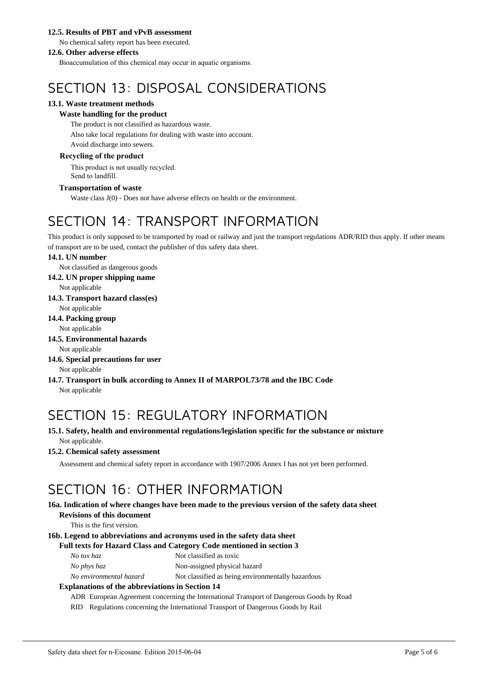## **12.5. Results of PBT and vPvB assessment**

No chemical safety report has been executed.

### **12.6. Other adverse effects**

Bioaccumulation of this chemical may occur in aquatic organisms.

## SECTION 13: DISPOSAL CONSIDERATIONS

## **13.1. Waste treatment methods**

## **Waste handling for the product**

The product is not classified as hazardous waste.

Also take local regulations for dealing with waste into account. Avoid discharge into sewers.

## **Recycling of the product**

This product is not usually recycled. Send to landfill.

## **Transportation of waste**

Waste class J(0) - Does not have adverse effects on health or the environment.

## SECTION 14: TRANSPORT INFORMATION

This product is only supposed to be transported by road or railway and just the transport regulations ADR/RID thus apply. If other means of transport are to be used, contact the publisher of this safety data sheet.

### **14.1. UN number**

Not classified as dangerous goods

**14.2. UN proper shipping name**

Not applicable

**14.3. Transport hazard class(es)**

Not applicable

**14.4. Packing group**

Not applicable

**14.5. Environmental hazards**

```
Not applicable
```
- **14.6. Special precautions for user** Not applicable
- **14.7. Transport in bulk according to Annex II of MARPOL73/78 and the IBC Code** Not applicable

## SECTION 15: REGULATORY INFORMATION

**15.1. Safety, health and environmental regulations/legislation specific for the substance or mixture** Not applicable.

## **15.2. Chemical safety assessment**

Assessment and chemical safety report in accordance with 1907/2006 Annex I has not yet been performed.

## SECTION 16: OTHER INFORMATION

#### **16a. Indication of where changes have been made to the previous version of the safety data sheet Revisions of this document**

This is the first version.

## **16b. Legend to abbreviations and acronyms used in the safety data sheet**

#### **Full texts for Hazard Class and Category Code mentioned in section 3**

| Not classified as toxic |
|-------------------------|
|                         |

*No phys haz* Non-assigned physical hazard

*No environmental hazard* Not classified as being environmentally hazardous

## **Explanations of the abbreviations in Section 14**

ADR European Agreement concerning the International Transport of Dangerous Goods by Road

RID Regulations concerning the International Transport of Dangerous Goods by Rail